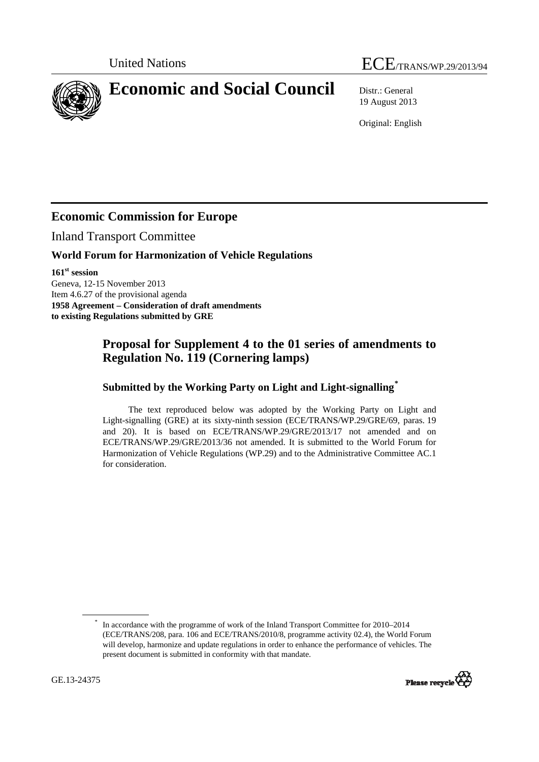# United Nations  $\text{ECE}_{\text{TRANS/WP.29/2013/94}}$

<span id="page-0-0"></span>**Economic and Social Council** Distr.: General

19 August 2013

Original: English

## **Economic Commission for Europe**

Inland Transport Committee

#### **World Forum for Harmonization of Vehicle Regulations**

**161st session**  Geneva, 12-15 November 2013 Item 4.6.27 of the provisional agenda **1958 Agreement – Consideration of draft amendments to existing Regulations submitted by GRE** 

### **Proposal for Supplement 4 to the 01 series of amendments to Regulation No. 119 (Cornering lamps)**

#### **Submitted by the Working Party on Light and Light-signalling[\\*](#page-0-0)**

The text reproduced below was adopted by the Working Party on Light and Light-signalling (GRE) at its sixty-ninth session (ECE/TRANS/WP.29/GRE/69, paras. 19 and 20). It is based on ECE/TRANS/WP.29/GRE/2013/17 not amended and on ECE/TRANS/WP.29/GRE/2013/36 not amended. It is submitted to the World Forum for Harmonization of Vehicle Regulations (WP.29) and to the Administrative Committee AC.1 for consideration.

<sup>\*</sup> In accordance with the programme of work of the Inland Transport Committee for 2010–2014 (ECE/TRANS/208, para. 106 and ECE/TRANS/2010/8, programme activity 02.4), the World Forum will develop, harmonize and update regulations in order to enhance the performance of vehicles. The present document is submitted in conformity with that mandate.

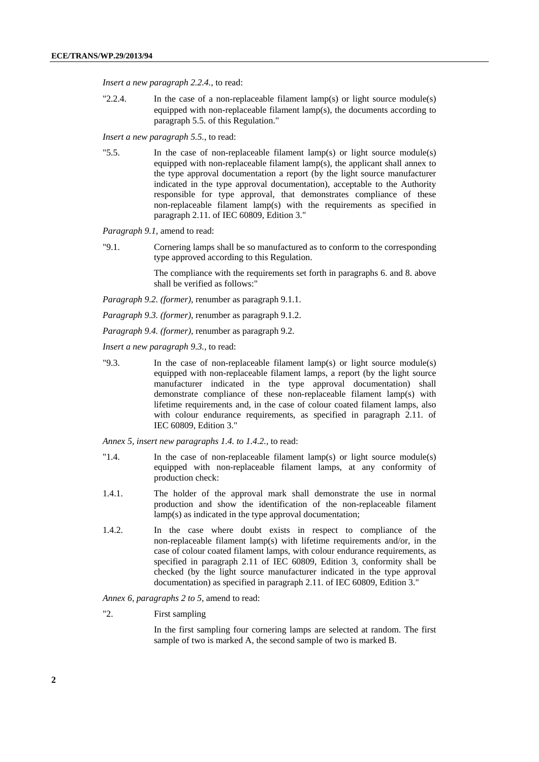*Insert a new paragraph 2.2.4.*, to read:

"2.2.4. In the case of a non-replaceable filament lamp(s) or light source module(s) equipped with non-replaceable filament lamp(s), the documents according to paragraph 5.5. of this Regulation."

*Insert a new paragraph 5.5.*, to read:

"5.5. In the case of non-replaceable filament lamp(s) or light source module(s) equipped with non-replaceable filament lamp(s), the applicant shall annex to the type approval documentation a report (by the light source manufacturer indicated in the type approval documentation), acceptable to the Authority responsible for type approval, that demonstrates compliance of these non-replaceable filament lamp(s) with the requirements as specified in paragraph 2.11. of IEC 60809, Edition 3."

*Paragraph 9.1,* amend to read:

"9.1. Cornering lamps shall be so manufactured as to conform to the corresponding type approved according to this Regulation.

> The compliance with the requirements set forth in paragraphs 6. and 8. above shall be verified as follows:"

*Paragraph 9.2. (former)*, renumber as paragraph 9.1.1.

*Paragraph 9.3. (former)*, renumber as paragraph 9.1.2.

*Paragraph 9.4. (former)*, renumber as paragraph 9.2.

*Insert a new paragraph 9.3.,* to read:

"9.3. In the case of non-replaceable filament lamp(s) or light source module(s) equipped with non-replaceable filament lamps, a report (by the light source manufacturer indicated in the type approval documentation) shall demonstrate compliance of these non-replaceable filament lamp(s) with lifetime requirements and, in the case of colour coated filament lamps, also with colour endurance requirements, as specified in paragraph 2.11. of IEC 60809, Edition 3."

*Annex 5, insert new paragraphs 1.4. to 1.4.2.*, to read:

- "1.4. In the case of non-replaceable filament lamp(s) or light source module(s) equipped with non-replaceable filament lamps, at any conformity of production check:
- 1.4.1. The holder of the approval mark shall demonstrate the use in normal production and show the identification of the non-replaceable filament lamp(s) as indicated in the type approval documentation;
- 1.4.2. In the case where doubt exists in respect to compliance of the non-replaceable filament lamp(s) with lifetime requirements and/or, in the case of colour coated filament lamps, with colour endurance requirements, as specified in paragraph 2.11 of IEC 60809, Edition 3, conformity shall be checked (by the light source manufacturer indicated in the type approval documentation) as specified in paragraph 2.11. of IEC 60809, Edition 3."

*Annex 6, paragraphs 2 to 5*, amend to read:

"2. First sampling

In the first sampling four cornering lamps are selected at random. The first sample of two is marked A, the second sample of two is marked B.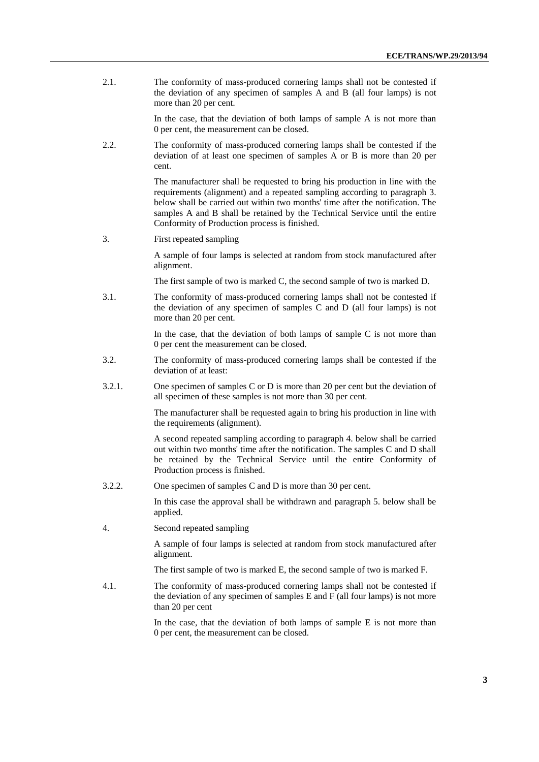2.1. The conformity of mass-produced cornering lamps shall not be contested if the deviation of any specimen of samples A and B (all four lamps) is not more than 20 per cent.

> In the case, that the deviation of both lamps of sample A is not more than 0 per cent, the measurement can be closed.

2.2. The conformity of mass-produced cornering lamps shall be contested if the deviation of at least one specimen of samples A or B is more than 20 per cent.

> The manufacturer shall be requested to bring his production in line with the requirements (alignment) and a repeated sampling according to paragraph 3. below shall be carried out within two months' time after the notification. The samples A and B shall be retained by the Technical Service until the entire Conformity of Production process is finished.

3. First repeated sampling

A sample of four lamps is selected at random from stock manufactured after alignment.

The first sample of two is marked C, the second sample of two is marked D.

3.1. The conformity of mass-produced cornering lamps shall not be contested if the deviation of any specimen of samples C and D (all four lamps) is not more than 20 per cent.

> In the case, that the deviation of both lamps of sample C is not more than 0 per cent the measurement can be closed.

- 3.2. The conformity of mass-produced cornering lamps shall be contested if the deviation of at least:
- 3.2.1. One specimen of samples C or D is more than 20 per cent but the deviation of all specimen of these samples is not more than 30 per cent.

The manufacturer shall be requested again to bring his production in line with the requirements (alignment).

A second repeated sampling according to paragraph 4. below shall be carried out within two months' time after the notification. The samples C and D shall be retained by the Technical Service until the entire Conformity of Production process is finished.

3.2.2. One specimen of samples C and D is more than 30 per cent.

In this case the approval shall be withdrawn and paragraph 5. below shall be applied.

4. Second repeated sampling

A sample of four lamps is selected at random from stock manufactured after alignment.

The first sample of two is marked E, the second sample of two is marked F.

4.1. The conformity of mass-produced cornering lamps shall not be contested if the deviation of any specimen of samples E and F (all four lamps) is not more than 20 per cent

> In the case, that the deviation of both lamps of sample E is not more than 0 per cent, the measurement can be closed.